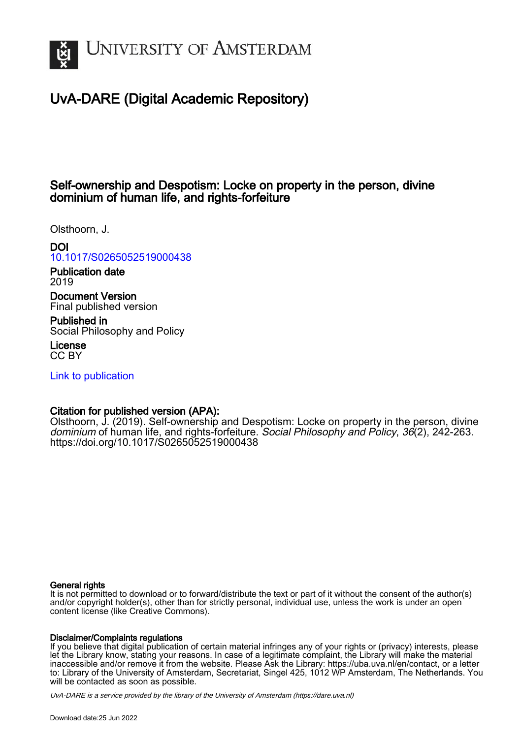

# UvA-DARE (Digital Academic Repository)

# Self-ownership and Despotism: Locke on property in the person, divine dominium of human life, and rights-forfeiture

Olsthoorn, J.

DOI

[10.1017/S0265052519000438](https://doi.org/10.1017/S0265052519000438)

Publication date 2019

Document Version Final published version

Published in Social Philosophy and Policy

License CC BY

[Link to publication](https://dare.uva.nl/personal/pure/en/publications/selfownership-and-despotism-locke-on-property-in-the-person-divine-dominium-of-human-life-and-rightsforfeiture(2d5e4146-aacf-41f0-901a-76d880a1350e).html)

# Citation for published version (APA):

Olsthoorn, J. (2019). Self-ownership and Despotism: Locke on property in the person, divine dominium of human life, and rights-forfeiture. Social Philosophy and Policy, 36(2), 242-263. <https://doi.org/10.1017/S0265052519000438>

### General rights

It is not permitted to download or to forward/distribute the text or part of it without the consent of the author(s) and/or copyright holder(s), other than for strictly personal, individual use, unless the work is under an open content license (like Creative Commons).

## Disclaimer/Complaints regulations

If you believe that digital publication of certain material infringes any of your rights or (privacy) interests, please let the Library know, stating your reasons. In case of a legitimate complaint, the Library will make the material inaccessible and/or remove it from the website. Please Ask the Library: https://uba.uva.nl/en/contact, or a letter to: Library of the University of Amsterdam, Secretariat, Singel 425, 1012 WP Amsterdam, The Netherlands. You will be contacted as soon as possible.

UvA-DARE is a service provided by the library of the University of Amsterdam (http*s*://dare.uva.nl)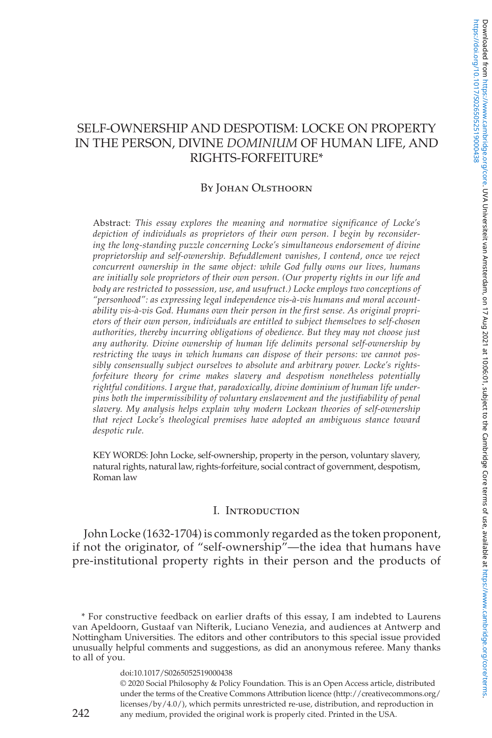# SELF-OWNERSHIP AND DESPOTISM: LOCKE ON PROPERTY IN THE PERSON, DIVINE *DOMINIUM* OF HUMAN LIFE, AND RIGHTS-FORFEITURE\*

#### By JOHAN OLSTHOORN

Abstract: *This essay explores the meaning and normative significance of Locke's depiction of individuals as proprietors of their own person. I begin by reconsidering the long-standing puzzle concerning Locke's simultaneous endorsement of divine proprietorship and self-ownership. Befuddlement vanishes, I contend, once we reject concurrent ownership in the same object: while God fully owns our lives, humans are initially sole proprietors of their own person. (Our property rights in our life and body are restricted to possession, use, and usufruct.) Locke employs two conceptions of "personhood": as expressing legal independence vis-à-vis humans and moral accountability vis-à-vis God. Humans own their person in the first sense. As original proprietors of their own person, individuals are entitled to subject themselves to self-chosen authorities, thereby incurring obligations of obedience. But they may not choose just any authority. Divine ownership of human life delimits personal self-ownership by restricting the ways in which humans can dispose of their persons: we cannot possibly consensually subject ourselves to absolute and arbitrary power. Locke's rightsforfeiture theory for crime makes slavery and despotism nonetheless potentially rightful conditions. I argue that, paradoxically, divine dominium of human life underpins both the impermissibility of voluntary enslavement and the justifiability of penal slavery. My analysis helps explain why modern Lockean theories of self-ownership that reject Locke's theological premises have adopted an ambiguous stance toward despotic rule.*

KEY WORDS: John Locke, self-ownership, property in the person, voluntary slavery, natural rights, natural law, rights-forfeiture, social contract of government, despotism, Roman law

#### I. Introduction

John Locke (1632-1704) is commonly regarded as the token proponent, if not the originator, of "self-ownership"—the idea that humans have pre-institutional property rights in their person and the products of

doi:10.1017/S0265052519000438 © 2020 Social Philosophy & Policy Foundation. This is an Open Access article, distributed under the terms of the Creative Commons Attribution licence (http://creativecommons.org/ licenses/by/4.0/), which permits unrestricted re-use, distribution, and reproduction in 242 any medium, provided the original work is properly cited. Printed in the USA.

<sup>\*</sup> For constructive feedback on earlier drafts of this essay, I am indebted to Laurens van Apeldoorn, Gustaaf van Nifterik, Luciano Venezia, and audiences at Antwerp and Nottingham Universities. The editors and other contributors to this special issue provided unusually helpful comments and suggestions, as did an anonymous referee. Many thanks to all of you.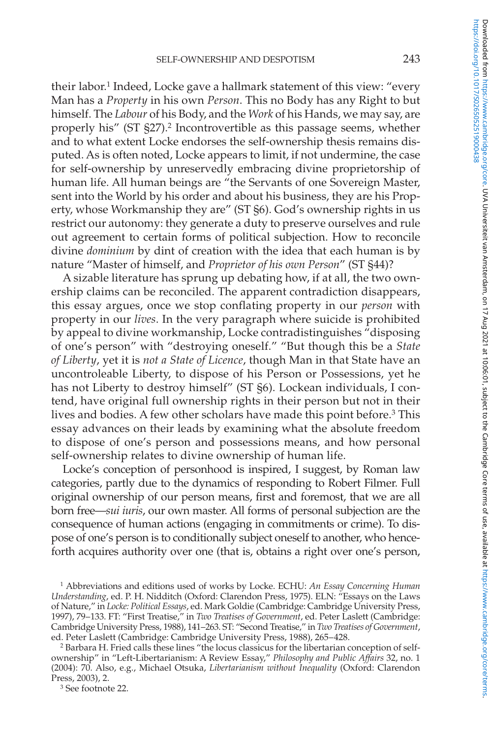their labor.<sup>1</sup> Indeed, Locke gave a hallmark statement of this view: "every Man has a *Property* in his own *Person*. This no Body has any Right to but himself. The *Labour* of his Body, and the *Work* of his Hands, we may say, are properly his" (ST §27).<sup>2</sup> Incontrovertible as this passage seems, whether and to what extent Locke endorses the self-ownership thesis remains disputed. As is often noted, Locke appears to limit, if not undermine, the case for self-ownership by unreservedly embracing divine proprietorship of human life. All human beings are "the Servants of one Sovereign Master, sent into the World by his order and about his business, they are his Property, whose Workmanship they are" (ST §6). God's ownership rights in us restrict our autonomy: they generate a duty to preserve ourselves and rule out agreement to certain forms of political subjection. How to reconcile divine *dominium* by dint of creation with the idea that each human is by nature "Master of himself, and *Proprietor of his own Person*" (ST §44)?

A sizable literature has sprung up debating how, if at all, the two ownership claims can be reconciled. The apparent contradiction disappears, this essay argues, once we stop conflating property in our *person* with property in our *lives*. In the very paragraph where suicide is prohibited by appeal to divine workmanship, Locke contradistinguishes "disposing of one's person" with "destroying oneself." "But though this be a *State of Liberty*, yet it is *not a State of Licence*, though Man in that State have an uncontroleable Liberty, to dispose of his Person or Possessions, yet he has not Liberty to destroy himself" (ST §6). Lockean individuals, I contend, have original full ownership rights in their person but not in their lives and bodies. A few other scholars have made this point before. $3$  This essay advances on their leads by examining what the absolute freedom to dispose of one's person and possessions means, and how personal self-ownership relates to divine ownership of human life.

Locke's conception of personhood is inspired, I suggest, by Roman law categories, partly due to the dynamics of responding to Robert Filmer. Full original ownership of our person means, first and foremost, that we are all born free—*sui iuris*, our own master. All forms of personal subjection are the consequence of human actions (engaging in commitments or crime). To dispose of one's person is to conditionally subject oneself to another, who henceforth acquires authority over one (that is, obtains a right over one's person,

3 See footnote 22.

<sup>1</sup> Abbreviations and editions used of works by Locke. ECHU: *An Essay Concerning Human Understanding*, ed. P. H. Nidditch (Oxford: Clarendon Press, 1975). ELN: "Essays on the Laws of Nature," in *Locke: Political Essays*, ed. Mark Goldie (Cambridge: Cambridge University Press, 1997), 79–133. FT: "First Treatise," in *Two Treatises of Government*, ed. Peter Laslett (Cambridge: Cambridge University Press, 1988), 141–263. ST: "Second Treatise," in *Two Treatises of Government*, ed. Peter Laslett (Cambridge: Cambridge University Press, 1988), 265–428.

<sup>2</sup> Barbara H. Fried calls these lines "the locus classicus for the libertarian conception of selfownership" in "Left-Libertarianism: A Review Essay," *Philosophy and Public Affairs* 32, no. 1 (2004): 70. Also, e.g., Michael Otsuka, *Libertarianism without Inequality* (Oxford: Clarendon Press, 2003), 2.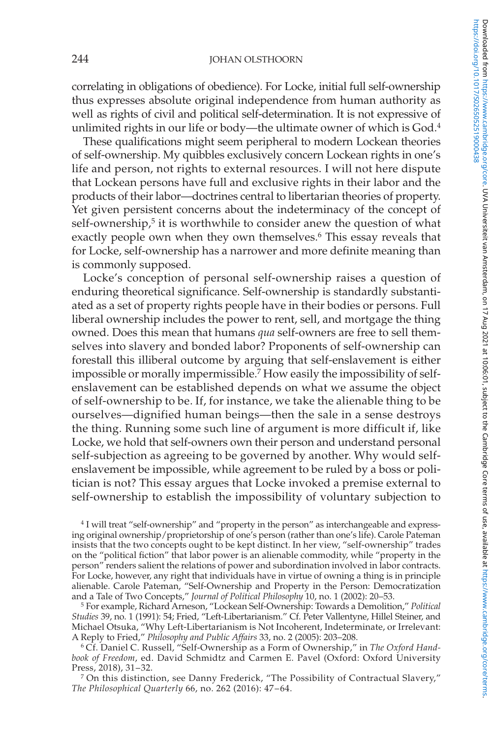correlating in obligations of obedience). For Locke, initial full self-ownership thus expresses absolute original independence from human authority as well as rights of civil and political self-determination. It is not expressive of unlimited rights in our life or body—the ultimate owner of which is God.4

These qualifications might seem peripheral to modern Lockean theories of self-ownership. My quibbles exclusively concern Lockean rights in one's life and person, not rights to external resources. I will not here dispute that Lockean persons have full and exclusive rights in their labor and the products of their labor—doctrines central to libertarian theories of property. Yet given persistent concerns about the indeterminacy of the concept of self-ownership, $5$  it is worthwhile to consider anew the question of what exactly people own when they own themselves.<sup>6</sup> This essay reveals that for Locke, self-ownership has a narrower and more definite meaning than is commonly supposed.

Locke's conception of personal self-ownership raises a question of enduring theoretical significance. Self-ownership is standardly substantiated as a set of property rights people have in their bodies or persons. Full liberal ownership includes the power to rent, sell, and mortgage the thing owned. Does this mean that humans *qua* self-owners are free to sell themselves into slavery and bonded labor? Proponents of self-ownership can forestall this illiberal outcome by arguing that self-enslavement is either impossible or morally impermissible.7 How easily the impossibility of selfenslavement can be established depends on what we assume the object of self-ownership to be. If, for instance, we take the alienable thing to be ourselves—dignified human beings—then the sale in a sense destroys the thing. Running some such line of argument is more difficult if, like Locke, we hold that self-owners own their person and understand personal self-subjection as agreeing to be governed by another. Why would selfenslavement be impossible, while agreement to be ruled by a boss or politician is not? This essay argues that Locke invoked a premise external to self-ownership to establish the impossibility of voluntary subjection to

<sup>4</sup> I will treat "self-ownership" and "property in the person" as interchangeable and expressing original ownership/proprietorship of one's person (rather than one's life). Carole Pateman insists that the two concepts ought to be kept distinct. In her view, "self-ownership" trades on the "political fiction" that labor power is an alienable commodity, while "property in the person" renders salient the relations of power and subordination involved in labor contracts. For Locke, however, any right that individuals have in virtue of owning a thing is in principle alienable. Carole Pateman, "Self-Ownership and Property in the Person: Democratization and a Tale of Two Concepts," *Journal of Political Philosophy* 10, no. 1 (2002): 20–53.

5 For example, Richard Arneson, "Lockean Self-Ownership: Towards a Demolition," *Political Studies* 39, no. 1 (1991): 54; Fried, "Left-Libertarianism." Cf. Peter Vallentyne, Hillel Steiner, and Michael Otsuka, "Why Left-Libertarianism is Not Incoherent, Indeterminate, or Irrelevant: A Reply to Fried," *Philosophy and Public Affairs* 33, no. 2 (2005): 203–208.

6 Cf. Daniel C. Russell, "Self-Ownership as a Form of Ownership," in *The Oxford Handbook of Freedom*, ed. David Schmidtz and Carmen E. Pavel (Oxford: Oxford University Press, 2018), 31–32.

7 On this distinction, see Danny Frederick, "The Possibility of Contractual Slavery," *The Philosophical Quarterly* 66, no. 262 (2016): 47–64.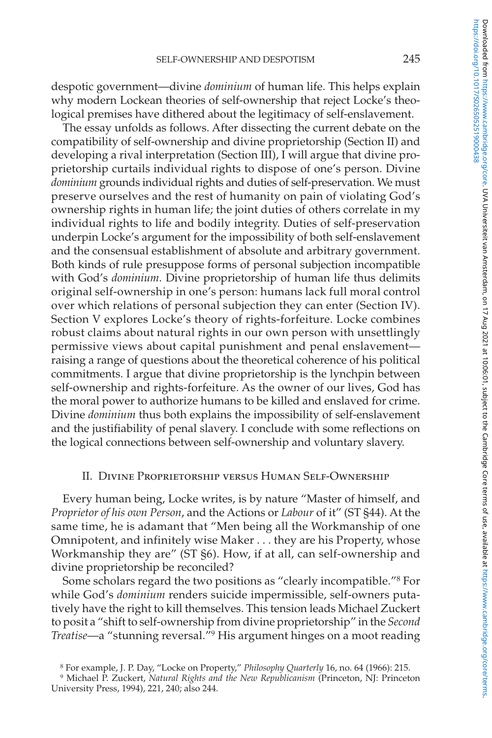despotic government—divine *dominium* of human life. This helps explain why modern Lockean theories of self-ownership that reject Locke's theological premises have dithered about the legitimacy of self-enslavement.

The essay unfolds as follows. After dissecting the current debate on the compatibility of self-ownership and divine proprietorship (Section II) and developing a rival interpretation (Section III), I will argue that divine proprietorship curtails individual rights to dispose of one's person. Divine *dominium* grounds individual rights and duties of self-preservation. We must preserve ourselves and the rest of humanity on pain of violating God's ownership rights in human life; the joint duties of others correlate in my individual rights to life and bodily integrity. Duties of self-preservation underpin Locke's argument for the impossibility of both self-enslavement and the consensual establishment of absolute and arbitrary government. Both kinds of rule presuppose forms of personal subjection incompatible with God's *dominium*. Divine proprietorship of human life thus delimits original self-ownership in one's person: humans lack full moral control over which relations of personal subjection they can enter (Section IV). Section V explores Locke's theory of rights-forfeiture. Locke combines robust claims about natural rights in our own person with unsettlingly permissive views about capital punishment and penal enslavement raising a range of questions about the theoretical coherence of his political commitments. I argue that divine proprietorship is the lynchpin between self-ownership and rights-forfeiture. As the owner of our lives, God has the moral power to authorize humans to be killed and enslaved for crime. Divine *dominium* thus both explains the impossibility of self-enslavement and the justifiability of penal slavery. I conclude with some reflections on the logical connections between self-ownership and voluntary slavery.

#### II. Divine Proprietorship versus Human Self-Ownership

Every human being, Locke writes, is by nature "Master of himself, and *Proprietor of his own Person*, and the Actions or *Labour* of it" (ST §44). At the same time, he is adamant that "Men being all the Workmanship of one Omnipotent, and infinitely wise Maker . . . they are his Property, whose Workmanship they are" (ST §6). How, if at all, can self-ownership and divine proprietorship be reconciled?

Some scholars regard the two positions as "clearly incompatible."8 For while God's *dominium* renders suicide impermissible, self-owners putatively have the right to kill themselves. This tension leads Michael Zuckert to posit a "shift to self-ownership from divine proprietorship" in the *Second Treatise*—a "stunning reversal."9 His argument hinges on a moot reading

<sup>8</sup> For example, J. P. Day, "Locke on Property," *Philosophy Quarterly* 16, no. 64 (1966): 215.

<sup>9</sup> Michael P. Zuckert, *Natural Rights and the New Republicanism* (Princeton, NJ: Princeton University Press, 1994), 221, 240; also 244.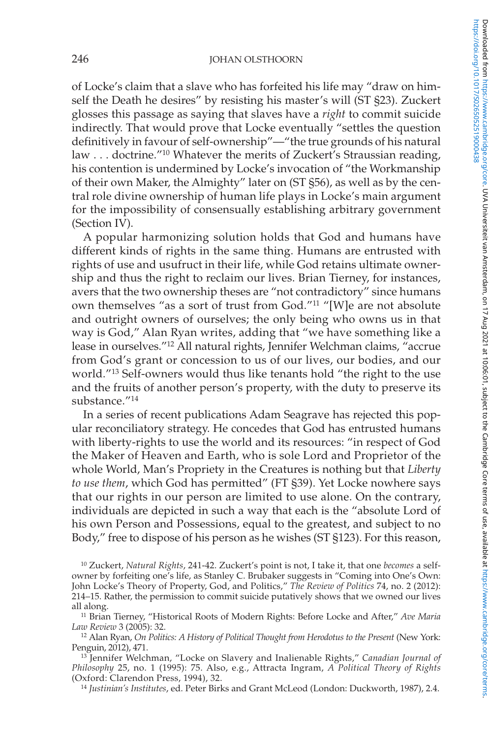of Locke's claim that a slave who has forfeited his life may "draw on himself the Death he desires" by resisting his master's will (ST §23). Zuckert glosses this passage as saying that slaves have a *right* to commit suicide indirectly. That would prove that Locke eventually "settles the question definitively in favour of self-ownership"—"the true grounds of his natural law . . . doctrine.<sup>"10</sup> Whatever the merits of Zuckert's Straussian reading, his contention is undermined by Locke's invocation of "the Workmanship of their own Maker, the Almighty" later on (ST §56), as well as by the central role divine ownership of human life plays in Locke's main argument for the impossibility of consensually establishing arbitrary government (Section IV).

A popular harmonizing solution holds that God and humans have different kinds of rights in the same thing. Humans are entrusted with rights of use and usufruct in their life, while God retains ultimate ownership and thus the right to reclaim our lives. Brian Tierney, for instances, avers that the two ownership theses are "not contradictory" since humans own themselves "as a sort of trust from God."11 "[W]e are not absolute and outright owners of ourselves; the only being who owns us in that way is God," Alan Ryan writes, adding that "we have something like a lease in ourselves."12 All natural rights, Jennifer Welchman claims, "accrue from God's grant or concession to us of our lives, our bodies, and our world."13 Self-owners would thus like tenants hold "the right to the use and the fruits of another person's property, with the duty to preserve its substance."14

In a series of recent publications Adam Seagrave has rejected this popular reconciliatory strategy. He concedes that God has entrusted humans with liberty-rights to use the world and its resources: "in respect of God the Maker of Heaven and Earth, who is sole Lord and Proprietor of the whole World, Man's Propriety in the Creatures is nothing but that *Liberty to use them*, which God has permitted" (FT §39). Yet Locke nowhere says that our rights in our person are limited to use alone. On the contrary, individuals are depicted in such a way that each is the "absolute Lord of his own Person and Possessions, equal to the greatest, and subject to no Body," free to dispose of his person as he wishes (ST §123). For this reason,

10 Zuckert, *Natural Rights*, 241-42. Zuckert's point is not, I take it, that one *becomes* a selfowner by forfeiting one's life, as Stanley C. Brubaker suggests in "Coming into One's Own: John Locke's Theory of Property, God, and Politics," *The Review of Politics* 74, no. 2 (2012): 214–15. Rather, the permission to commit suicide putatively shows that we owned our lives all along.

11 Brian Tierney, "Historical Roots of Modern Rights: Before Locke and After," *Ave Maria Law Review* 3 (2005): 32.

12 Alan Ryan, *On Politics: A History of Political Thought from Herodotus to the Present* (New York: Penguin, 2012), 471.

<sup>14</sup> *Justinian's Institutes*, ed. Peter Birks and Grant McLeod (London: Duckworth, 1987), 2.4.

<sup>13</sup> Jennifer Welchman, "Locke on Slavery and Inalienable Rights," *Canadian Journal of Philosophy* 25, no. 1 (1995): 75. Also, e.g., Attracta Ingram, *A Political Theory of Rights* (Oxford: Clarendon Press, 1994), 32.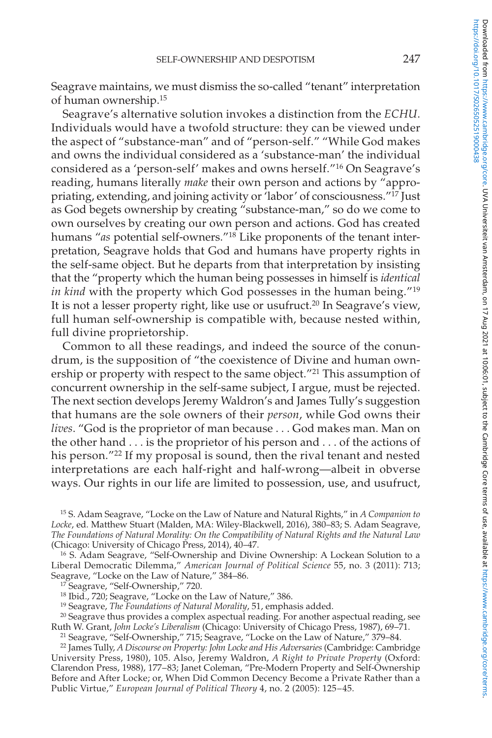Seagrave maintains, we must dismiss the so-called "tenant" interpretation of human ownership.15

Seagrave's alternative solution invokes a distinction from the *ECHU*. Individuals would have a twofold structure: they can be viewed under the aspect of "substance-man" and of "person-self." "While God makes and owns the individual considered as a 'substance-man' the individual considered as a 'person-self' makes and owns herself."16 On Seagrave's reading, humans literally *make* their own person and actions by "appropriating, extending, and joining activity or 'labor' of consciousness."17 Just as God begets ownership by creating "substance-man," so do we come to own ourselves by creating our own person and actions. God has created humans "*as* potential self-owners."18 Like proponents of the tenant interpretation, Seagrave holds that God and humans have property rights in the self-same object. But he departs from that interpretation by insisting that the "property which the human being possesses in himself is *identical in kind* with the property which God possesses in the human being."19 It is not a lesser property right, like use or usufruct.<sup>20</sup> In Seagrave's view, full human self-ownership is compatible with, because nested within, full divine proprietorship.

Common to all these readings, and indeed the source of the conundrum, is the supposition of "the coexistence of Divine and human ownership or property with respect to the same object."<sup>21</sup> This assumption of concurrent ownership in the self-same subject, I argue, must be rejected. The next section develops Jeremy Waldron's and James Tully's suggestion that humans are the sole owners of their *person*, while God owns their *lives*. "God is the proprietor of man because . . . God makes man. Man on the other hand . . . is the proprietor of his person and . . . of the actions of his person.<sup>"22</sup> If my proposal is sound, then the rival tenant and nested interpretations are each half-right and half-wrong—albeit in obverse ways. Our rights in our life are limited to possession, use, and usufruct,

15 S. Adam Seagrave, "Locke on the Law of Nature and Natural Rights," in *A Companion to Locke*, ed. Matthew Stuart (Malden, MA: Wiley-Blackwell, 2016), 380–83; S. Adam Seagrave, *The Foundations of Natural Morality: On the Compatibility of Natural Rights and the Natural Law* (Chicago: University of Chicago Press, 2014), 40–47.

16 S. Adam Seagrave, "Self-Ownership and Divine Ownership: A Lockean Solution to a Liberal Democratic Dilemma," *American Journal of Political Science* 55, no. 3 (2011): 713; Seagrave, "Locke on the Law of Nature," 384–86.

Seagrave, "Self-Ownership," 720.

<sup>18</sup> Ibid., 720; Seagrave, "Locke on the Law of Nature," 386.

19 Seagrave, *The Foundations of Natural Morality*, 51, emphasis added.

<sup>20</sup> Seagrave thus provides a complex aspectual reading. For another aspectual reading, see Ruth W. Grant, *John Locke's Liberalism* (Chicago: University of Chicago Press, 1987), 69–71.

21 Seagrave, "Self-Ownership," 715; Seagrave, "Locke on the Law of Nature," 379–84.

22 James Tully, *A Discourse on Property: John Locke and His Adversaries* (Cambridge: Cambridge University Press, 1980), 105. Also, Jeremy Waldron, *A Right to Private Property* (Oxford: Clarendon Press, 1988), 177–83; Janet Coleman, "Pre-Modern Property and Self-Ownership Before and After Locke; or, When Did Common Decency Become a Private Rather than a Public Virtue," *European Journal of Political Theory* 4, no. 2 (2005): 125–45.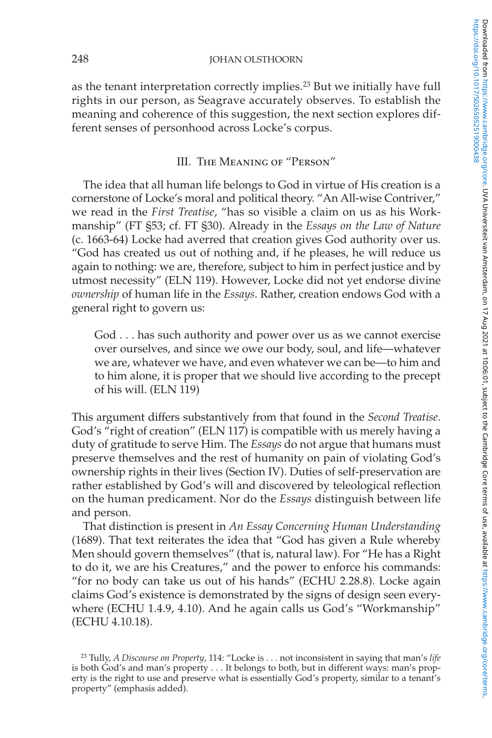#### 248 **JOHAN OLSTHOORN**

as the tenant interpretation correctly implies.23 But we initially have full rights in our person, as Seagrave accurately observes. To establish the meaning and coherence of this suggestion, the next section explores different senses of personhood across Locke's corpus.

#### III. The Meaning of "Person"

The idea that all human life belongs to God in virtue of His creation is a cornerstone of Locke's moral and political theory. "An All-wise Contriver," we read in the *First Treatise*, "has so visible a claim on us as his Workmanship" (FT §53; cf. FT §30). Already in the *Essays on the Law of Nature* (c. 1663-64) Locke had averred that creation gives God authority over us. "God has created us out of nothing and, if he pleases, he will reduce us again to nothing: we are, therefore, subject to him in perfect justice and by utmost necessity" (ELN 119). However, Locke did not yet endorse divine *ownership* of human life in the *Essays*. Rather, creation endows God with a general right to govern us:

God . . . has such authority and power over us as we cannot exercise over ourselves, and since we owe our body, soul, and life—whatever we are, whatever we have, and even whatever we can be—to him and to him alone, it is proper that we should live according to the precept of his will. (ELN 119)

This argument differs substantively from that found in the *Second Treatise*. God's "right of creation" (ELN 117) is compatible with us merely having a duty of gratitude to serve Him. The *Essays* do not argue that humans must preserve themselves and the rest of humanity on pain of violating God's ownership rights in their lives (Section IV). Duties of self-preservation are rather established by God's will and discovered by teleological reflection on the human predicament. Nor do the *Essays* distinguish between life and person.

That distinction is present in *An Essay Concerning Human Understanding* (1689). That text reiterates the idea that "God has given a Rule whereby Men should govern themselves" (that is, natural law). For "He has a Right to do it, we are his Creatures," and the power to enforce his commands: "for no body can take us out of his hands" (ECHU 2.28.8). Locke again claims God's existence is demonstrated by the signs of design seen everywhere (ECHU 1.4.9, 4.10). And he again calls us God's "Workmanship" (ECHU 4.10.18).

<sup>23</sup> Tully, *A Discourse on Property*, 114: "Locke is . . . not inconsistent in saying that man's *life* is both God's and man's property . . . It belongs to both, but in different ways: man's property is the right to use and preserve what is essentially God's property, similar to a tenant's property" (emphasis added).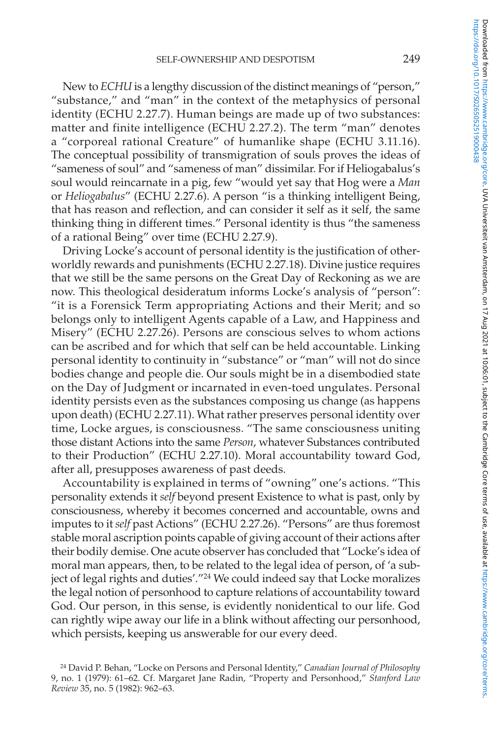New to *ECHU* is a lengthy discussion of the distinct meanings of "person," "substance," and "man" in the context of the metaphysics of personal identity (ECHU 2.27.7). Human beings are made up of two substances: matter and finite intelligence (ECHU 2.27.2). The term "man" denotes a "corporeal rational Creature" of humanlike shape (ECHU 3.11.16). The conceptual possibility of transmigration of souls proves the ideas of "sameness of soul" and "sameness of man" dissimilar. For if Heliogabalus's soul would reincarnate in a pig, few "would yet say that Hog were a *Man* or *Heliogabalus*" (ECHU 2.27.6). A person "is a thinking intelligent Being, that has reason and reflection, and can consider it self as it self, the same thinking thing in different times." Personal identity is thus "the sameness of a rational Being" over time (ECHU 2.27.9).

Driving Locke's account of personal identity is the justification of otherworldly rewards and punishments (ECHU 2.27.18). Divine justice requires that we still be the same persons on the Great Day of Reckoning as we are now. This theological desideratum informs Locke's analysis of "person": "it is a Forensick Term appropriating Actions and their Merit; and so belongs only to intelligent Agents capable of a Law, and Happiness and Misery" (ECHU 2.27.26). Persons are conscious selves to whom actions can be ascribed and for which that self can be held accountable. Linking personal identity to continuity in "substance" or "man" will not do since bodies change and people die. Our souls might be in a disembodied state on the Day of Judgment or incarnated in even-toed ungulates. Personal identity persists even as the substances composing us change (as happens upon death) (ECHU 2.27.11). What rather preserves personal identity over time, Locke argues, is consciousness. "The same consciousness uniting those distant Actions into the same *Person*, whatever Substances contributed to their Production" (ECHU 2.27.10). Moral accountability toward God, after all, presupposes awareness of past deeds.

Accountability is explained in terms of "owning" one's actions. "This personality extends it *self* beyond present Existence to what is past, only by consciousness, whereby it becomes concerned and accountable, owns and imputes to it *self* past Actions" (ECHU 2.27.26). "Persons" are thus foremost stable moral ascription points capable of giving account of their actions after their bodily demise. One acute observer has concluded that "Locke's idea of moral man appears, then, to be related to the legal idea of person, of 'a subject of legal rights and duties'."24 We could indeed say that Locke moralizes the legal notion of personhood to capture relations of accountability toward God. Our person, in this sense, is evidently nonidentical to our life. God can rightly wipe away our life in a blink without affecting our personhood, which persists, keeping us answerable for our every deed.

<sup>24</sup> David P. Behan, "Locke on Persons and Personal Identity," *Canadian Journal of Philosophy* 9, no. 1 (1979): 61–62. Cf. Margaret Jane Radin, "Property and Personhood," *Stanford Law Review* 35, no. 5 (1982): 962–63.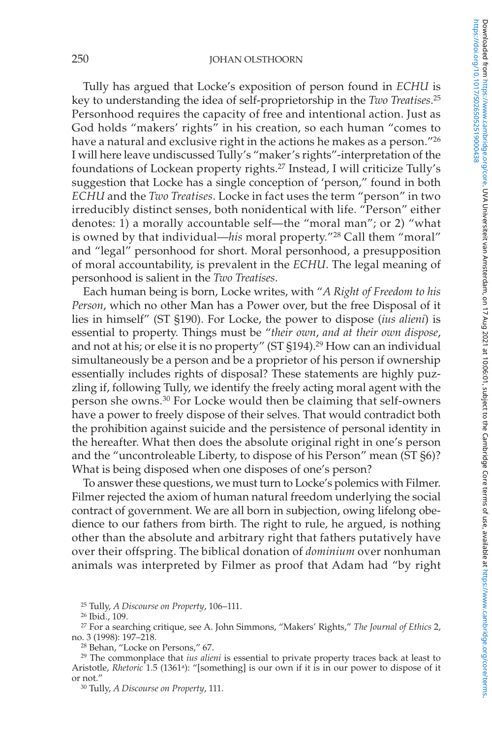Tully has argued that Locke's exposition of person found in *ECHU* is key to understanding the idea of self-proprietorship in the *Two Treatises*. 25 Personhood requires the capacity of free and intentional action. Just as God holds "makers' rights" in his creation, so each human "comes to have a natural and exclusive right in the actions he makes as a person."26 I will here leave undiscussed Tully's "maker's rights"-interpretation of the foundations of Lockean property rights.27 Instead, I will criticize Tully's suggestion that Locke has a single conception of 'person," found in both *ECHU* and the *Two Treatises*. Locke in fact uses the term "person" in two irreducibly distinct senses, both nonidentical with life. "Person" either denotes: 1) a morally accountable self—the "moral man"; or 2) "what is owned by that individual—*his* moral property."28 Call them "moral" and "legal" personhood for short. Moral personhood, a presupposition of moral accountability, is prevalent in the *ECHU*. The legal meaning of personhood is salient in the *Two Treatises*.

Each human being is born, Locke writes, with "*A Right of Freedom to his Person*, which no other Man has a Power over, but the free Disposal of it lies in himself" (ST §190). For Locke, the power to dispose (*ius alieni*) is essential to property. Things must be "*their own*, *and at their own dispose*, and not at his; or else it is no property" (ST §194).29 How can an individual simultaneously be a person and be a proprietor of his person if ownership essentially includes rights of disposal? These statements are highly puzzling if, following Tully, we identify the freely acting moral agent with the person she owns.30 For Locke would then be claiming that self-owners have a power to freely dispose of their selves. That would contradict both the prohibition against suicide and the persistence of personal identity in the hereafter. What then does the absolute original right in one's person and the "uncontroleable Liberty, to dispose of his Person" mean (ST §6)? What is being disposed when one disposes of one's person?

To answer these questions, we must turn to Locke's polemics with Filmer. Filmer rejected the axiom of human natural freedom underlying the social contract of government. We are all born in subjection, owing lifelong obedience to our fathers from birth. The right to rule, he argued, is nothing other than the absolute and arbitrary right that fathers putatively have over their offspring. The biblical donation of *dominium* over nonhuman animals was interpreted by Filmer as proof that Adam had "by right

26 Ibid., 109.

<sup>25</sup> Tully, *A Discourse on Property*, 106–111.

<sup>27</sup> For a searching critique, see A. John Simmons, "Makers' Rights," *The Journal of Ethics* 2, no. 3 (1998): 197–218.

<sup>28</sup> Behan, "Locke on Persons," 67.

<sup>29</sup> The commonplace that *ius alieni* is essential to private property traces back at least to Aristotle, *Rhetoric* 1.5 (1361a): "[something] is our own if it is in our power to dispose of it or not."

<sup>30</sup> Tully, *A Discourse on Property*, 111.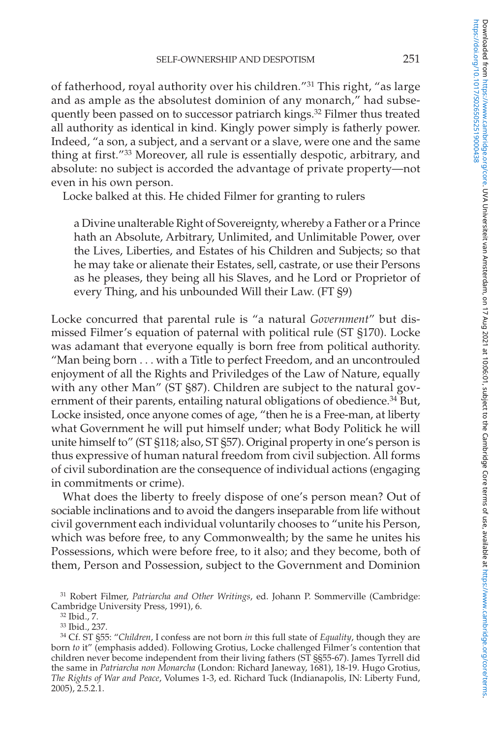of fatherhood, royal authority over his children."31 This right, "as large and as ample as the absolutest dominion of any monarch," had subsequently been passed on to successor patriarch kings.<sup>32</sup> Filmer thus treated all authority as identical in kind. Kingly power simply is fatherly power. Indeed, "a son, a subject, and a servant or a slave, were one and the same thing at first."33 Moreover, all rule is essentially despotic, arbitrary, and absolute: no subject is accorded the advantage of private property—not even in his own person.

Locke balked at this. He chided Filmer for granting to rulers

a Divine unalterable Right of Sovereignty, whereby a Father or a Prince hath an Absolute, Arbitrary, Unlimited, and Unlimitable Power, over the Lives, Liberties, and Estates of his Children and Subjects; so that he may take or alienate their Estates, sell, castrate, or use their Persons as he pleases, they being all his Slaves, and he Lord or Proprietor of every Thing, and his unbounded Will their Law. (FT §9)

Locke concurred that parental rule is "a natural *Government*" but dismissed Filmer's equation of paternal with political rule (ST §170). Locke was adamant that everyone equally is born free from political authority. "Man being born . . . with a Title to perfect Freedom, and an uncontrouled enjoyment of all the Rights and Priviledges of the Law of Nature, equally with any other Man" (ST §87). Children are subject to the natural government of their parents, entailing natural obligations of obedience.<sup>34</sup> But, Locke insisted, once anyone comes of age, "then he is a Free-man, at liberty what Government he will put himself under; what Body Politick he will unite himself to" (ST §118; also, ST §57). Original property in one's person is thus expressive of human natural freedom from civil subjection. All forms of civil subordination are the consequence of individual actions (engaging in commitments or crime).

What does the liberty to freely dispose of one's person mean? Out of sociable inclinations and to avoid the dangers inseparable from life without civil government each individual voluntarily chooses to "unite his Person, which was before free, to any Commonwealth; by the same he unites his Possessions, which were before free, to it also; and they become, both of them, Person and Possession, subject to the Government and Dominion

<sup>31</sup> Robert Filmer, *Patriarcha and Other Writings*, ed. Johann P. Sommerville (Cambridge: Cambridge University Press, 1991), 6.

<sup>32</sup> Ibid., 7.

<sup>33</sup> Ibid., 237.

<sup>34</sup> Cf. ST §55: "*Children*, I confess are not born *in* this full state of *Equality*, though they are born *to* it" (emphasis added). Following Grotius, Locke challenged Filmer's contention that children never become independent from their living fathers (ST §§55-67). James Tyrrell did the same in *Patriarcha non Monarcha* (London: Richard Janeway, 1681), 18-19. Hugo Grotius, *The Rights of War and Peace*, Volumes 1-3, ed. Richard Tuck (Indianapolis, IN: Liberty Fund, 2005), 2.5.2.1.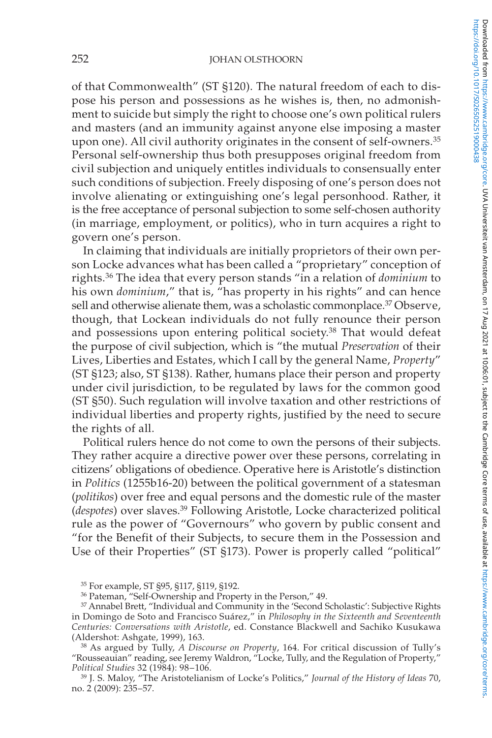#### 252 JOHAN OLSTHOORN

of that Commonwealth" (ST §120). The natural freedom of each to dispose his person and possessions as he wishes is, then, no admonishment to suicide but simply the right to choose one's own political rulers and masters (and an immunity against anyone else imposing a master upon one). All civil authority originates in the consent of self-owners.<sup>35</sup> Personal self-ownership thus both presupposes original freedom from civil subjection and uniquely entitles individuals to consensually enter such conditions of subjection. Freely disposing of one's person does not involve alienating or extinguishing one's legal personhood. Rather, it is the free acceptance of personal subjection to some self-chosen authority (in marriage, employment, or politics), who in turn acquires a right to govern one's person.

In claiming that individuals are initially proprietors of their own person Locke advances what has been called a "proprietary" conception of rights.36 The idea that every person stands "in a relation of *dominium* to his own *dominium*," that is, "has property in his rights" and can hence sell and otherwise alienate them, was a scholastic commonplace.<sup>37</sup> Observe, though, that Lockean individuals do not fully renounce their person and possessions upon entering political society.<sup>38</sup> That would defeat the purpose of civil subjection, which is "the mutual *Preservation* of their Lives, Liberties and Estates, which I call by the general Name, *Property*" (ST §123; also, ST §138). Rather, humans place their person and property under civil jurisdiction, to be regulated by laws for the common good (ST §50). Such regulation will involve taxation and other restrictions of individual liberties and property rights, justified by the need to secure the rights of all.

Political rulers hence do not come to own the persons of their subjects. They rather acquire a directive power over these persons, correlating in citizens' obligations of obedience. Operative here is Aristotle's distinction in *Politics* (1255b16-20) between the political government of a statesman (*politikos*) over free and equal persons and the domestic rule of the master (*despotes*) over slaves.39 Following Aristotle, Locke characterized political rule as the power of "Governours" who govern by public consent and "for the Benefit of their Subjects, to secure them in the Possession and Use of their Properties" (ST §173). Power is properly called "political"

<sup>35</sup> For example, ST §95, §117, §119, §192.

<sup>36</sup> Pateman, "Self-Ownership and Property in the Person," 49.

<sup>37</sup> Annabel Brett, "Individual and Community in the 'Second Scholastic': Subjective Rights in Domingo de Soto and Francisco Suárez," in *Philosophy in the Sixteenth and Seventeenth Centuries: Conversations with Aristotle*, ed. Constance Blackwell and Sachiko Kusukawa (Aldershot: Ashgate, 1999), 163.

<sup>38</sup> As argued by Tully, *A Discourse on Property*, 164. For critical discussion of Tully's "Rousseauian" reading, see Jeremy Waldron, "Locke, Tully, and the Regulation of Property," *Political Studies* 32 (1984): 98–106.

<sup>39</sup> J. S. Maloy, "The Aristotelianism of Locke's Politics," *Journal of the History of Ideas* 70, no. 2 (2009): 235–57.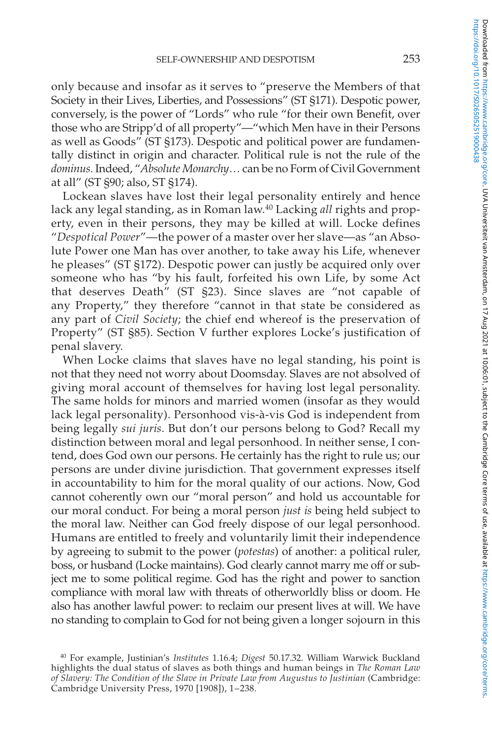only because and insofar as it serves to "preserve the Members of that Society in their Lives, Liberties, and Possessions" (ST §171). Despotic power, conversely, is the power of "Lords" who rule "for their own Benefit, over those who are Stripp'd of all property"—"which Men have in their Persons as well as Goods" (ST §173). Despotic and political power are fundamentally distinct in origin and character. Political rule is not the rule of the *dominus*. Indeed, "*Absolute Monarchy*… can be no Form of Civil Government at all" (ST §90; also, ST §174).

Lockean slaves have lost their legal personality entirely and hence lack any legal standing, as in Roman law.40 Lacking *all* rights and property, even in their persons, they may be killed at will. Locke defines "*Despotical Power*"—the power of a master over her slave—as "an Absolute Power one Man has over another, to take away his Life, whenever he pleases" (ST §172). Despotic power can justly be acquired only over someone who has "by his fault, forfeited his own Life, by some Act that deserves Death" (ST §23). Since slaves are "not capable of any Property," they therefore "cannot in that state be considered as any part of *Civil Society*; the chief end whereof is the preservation of Property" (ST §85). Section V further explores Locke's justification of penal slavery.

When Locke claims that slaves have no legal standing, his point is not that they need not worry about Doomsday. Slaves are not absolved of giving moral account of themselves for having lost legal personality. The same holds for minors and married women (insofar as they would lack legal personality). Personhood vis-à-vis God is independent from being legally *sui juris*. But don't our persons belong to God? Recall my distinction between moral and legal personhood. In neither sense, I contend, does God own our persons. He certainly has the right to rule us; our persons are under divine jurisdiction. That government expresses itself in accountability to him for the moral quality of our actions. Now, God cannot coherently own our "moral person" and hold us accountable for our moral conduct. For being a moral person *just is* being held subject to the moral law. Neither can God freely dispose of our legal personhood. Humans are entitled to freely and voluntarily limit their independence by agreeing to submit to the power (*potestas*) of another: a political ruler, boss, or husband (Locke maintains). God clearly cannot marry me off or subject me to some political regime. God has the right and power to sanction compliance with moral law with threats of otherworldly bliss or doom. He also has another lawful power: to reclaim our present lives at will. We have no standing to complain to God for not being given a longer sojourn in this

<sup>40</sup> For example, Justinian's *Institutes* 1.16.4; *Digest* 50.17.32. William Warwick Buckland highlights the dual status of slaves as both things and human beings in *The Roman Law of Slavery: The Condition of the Slave in Private Law from Augustus to Justinian* (Cambridge: Cambridge University Press, 1970 [1908]), 1–238.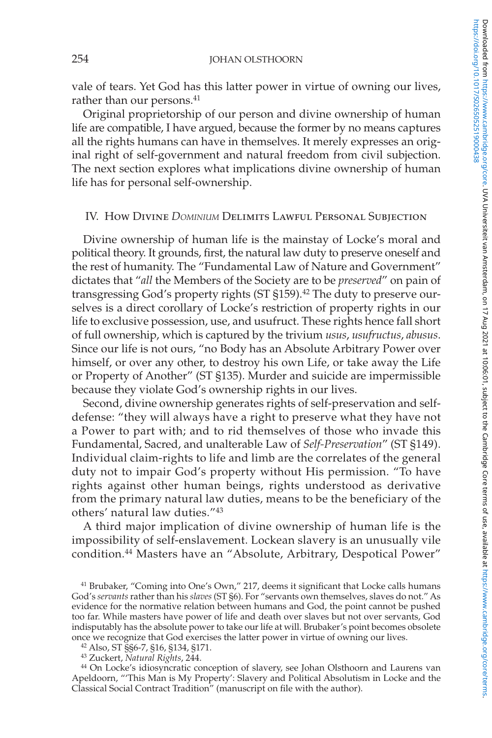vale of tears. Yet God has this latter power in virtue of owning our lives, rather than our persons.<sup>41</sup>

Original proprietorship of our person and divine ownership of human life are compatible, I have argued, because the former by no means captures all the rights humans can have in themselves. It merely expresses an original right of self-government and natural freedom from civil subjection. The next section explores what implications divine ownership of human life has for personal self-ownership.

#### IV. How Divine *Dominium* Delimits Lawful Personal Subjection

Divine ownership of human life is the mainstay of Locke's moral and political theory. It grounds, first, the natural law duty to preserve oneself and the rest of humanity. The "Fundamental Law of Nature and Government" dictates that "*all* the Members of the Society are to be *preserved*" on pain of transgressing God's property rights (ST §159).<sup>42</sup> The duty to preserve ourselves is a direct corollary of Locke's restriction of property rights in our life to exclusive possession, use, and usufruct. These rights hence fall short of full ownership, which is captured by the trivium *usus*, *usufructus*, *abusus*. Since our life is not ours, "no Body has an Absolute Arbitrary Power over himself, or over any other, to destroy his own Life, or take away the Life or Property of Another" (ST §135). Murder and suicide are impermissible because they violate God's ownership rights in our lives.

Second, divine ownership generates rights of self-preservation and selfdefense: "they will always have a right to preserve what they have not a Power to part with; and to rid themselves of those who invade this Fundamental, Sacred, and unalterable Law of *Self-Preservation*" (ST §149). Individual claim-rights to life and limb are the correlates of the general duty not to impair God's property without His permission. "To have rights against other human beings, rights understood as derivative from the primary natural law duties, means to be the beneficiary of the others' natural law duties."43

A third major implication of divine ownership of human life is the impossibility of self-enslavement. Lockean slavery is an unusually vile condition.44 Masters have an "Absolute, Arbitrary, Despotical Power"

41 Brubaker, "Coming into One's Own," 217, deems it significant that Locke calls humans God's *servants* rather than his *slaves* (ST §6). For "servants own themselves, slaves do not." As evidence for the normative relation between humans and God, the point cannot be pushed too far. While masters have power of life and death over slaves but not over servants, God indisputably has the absolute power to take our life at will. Brubaker's point becomes obsolete once we recognize that God exercises the latter power in virtue of owning our lives.

42 Also, ST §§6-7, §16, §134, §171.

43 Zuckert, *Natural Rights*, 244.

44 On Locke's idiosyncratic conception of slavery, see Johan Olsthoorn and Laurens van Apeldoorn, "'This Man is My Property': Slavery and Political Absolutism in Locke and the Classical Social Contract Tradition" (manuscript on file with the author).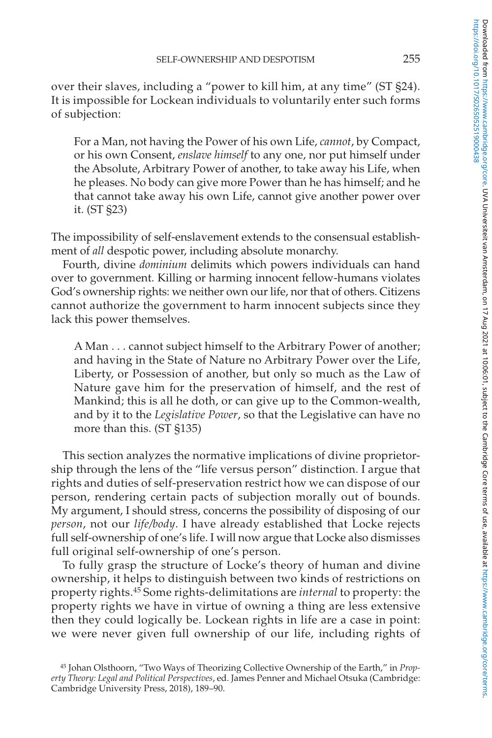over their slaves, including a "power to kill him, at any time" (ST §24). It is impossible for Lockean individuals to voluntarily enter such forms of subjection:

For a Man, not having the Power of his own Life, *cannot*, by Compact, or his own Consent, *enslave himself* to any one, nor put himself under the Absolute, Arbitrary Power of another, to take away his Life, when he pleases. No body can give more Power than he has himself; and he that cannot take away his own Life, cannot give another power over it. (ST §23)

The impossibility of self-enslavement extends to the consensual establishment of *all* despotic power, including absolute monarchy.

Fourth, divine *dominium* delimits which powers individuals can hand over to government. Killing or harming innocent fellow-humans violates God's ownership rights: we neither own our life, nor that of others. Citizens cannot authorize the government to harm innocent subjects since they lack this power themselves.

A Man . . . cannot subject himself to the Arbitrary Power of another; and having in the State of Nature no Arbitrary Power over the Life, Liberty, or Possession of another, but only so much as the Law of Nature gave him for the preservation of himself, and the rest of Mankind; this is all he doth, or can give up to the Common-wealth, and by it to the *Legislative Power*, so that the Legislative can have no more than this. (ST §135)

This section analyzes the normative implications of divine proprietorship through the lens of the "life versus person" distinction. I argue that rights and duties of self-preservation restrict how we can dispose of our person, rendering certain pacts of subjection morally out of bounds. My argument, I should stress, concerns the possibility of disposing of our *person*, not our *life/body*. I have already established that Locke rejects full self-ownership of one's life. I will now argue that Locke also dismisses full original self-ownership of one's person.

To fully grasp the structure of Locke's theory of human and divine ownership, it helps to distinguish between two kinds of restrictions on property rights.45 Some rights-delimitations are *internal* to property: the property rights we have in virtue of owning a thing are less extensive then they could logically be. Lockean rights in life are a case in point: we were never given full ownership of our life, including rights of

<sup>45</sup> Johan Olsthoorn, "Two Ways of Theorizing Collective Ownership of the Earth," in *Property Theory: Legal and Political Perspectives*, ed. James Penner and Michael Otsuka (Cambridge: Cambridge University Press, 2018), 189–90.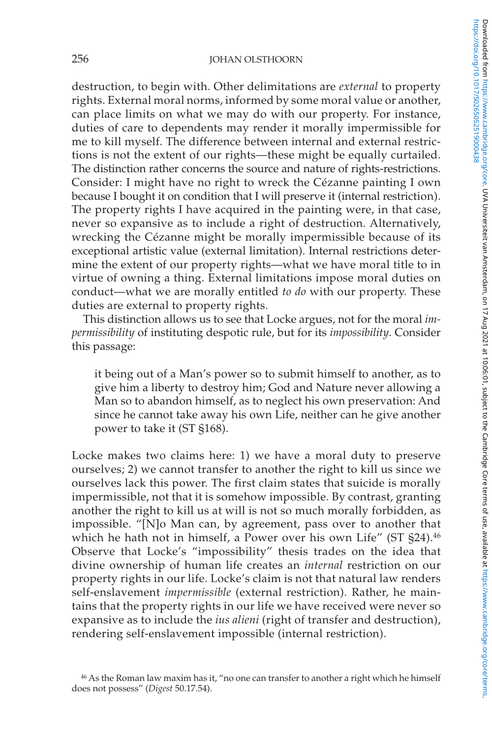destruction, to begin with. Other delimitations are *external* to property rights. External moral norms, informed by some moral value or another, can place limits on what we may do with our property. For instance, duties of care to dependents may render it morally impermissible for me to kill myself. The difference between internal and external restrictions is not the extent of our rights—these might be equally curtailed. The distinction rather concerns the source and nature of rights-restrictions. Consider: I might have no right to wreck the Cézanne painting I own because I bought it on condition that I will preserve it (internal restriction). The property rights I have acquired in the painting were, in that case, never so expansive as to include a right of destruction. Alternatively, wrecking the Cézanne might be morally impermissible because of its exceptional artistic value (external limitation). Internal restrictions determine the extent of our property rights—what we have moral title to in virtue of owning a thing. External limitations impose moral duties on conduct—what we are morally entitled *to do* with our property. These duties are external to property rights.

This distinction allows us to see that Locke argues, not for the moral *impermissibility* of instituting despotic rule, but for its *impossibility*. Consider this passage:

it being out of a Man's power so to submit himself to another, as to give him a liberty to destroy him; God and Nature never allowing a Man so to abandon himself, as to neglect his own preservation: And since he cannot take away his own Life, neither can he give another power to take it (ST §168).

Locke makes two claims here: 1) we have a moral duty to preserve ourselves; 2) we cannot transfer to another the right to kill us since we ourselves lack this power. The first claim states that suicide is morally impermissible, not that it is somehow impossible. By contrast, granting another the right to kill us at will is not so much morally forbidden, as impossible. "[N]o Man can, by agreement, pass over to another that which he hath not in himself, a Power over his own Life" (ST §24).<sup>46</sup> Observe that Locke's "impossibility" thesis trades on the idea that divine ownership of human life creates an *internal* restriction on our property rights in our life. Locke's claim is not that natural law renders self-enslavement *impermissible* (external restriction). Rather, he maintains that the property rights in our life we have received were never so expansive as to include the *ius alieni* (right of transfer and destruction), rendering self-enslavement impossible (internal restriction).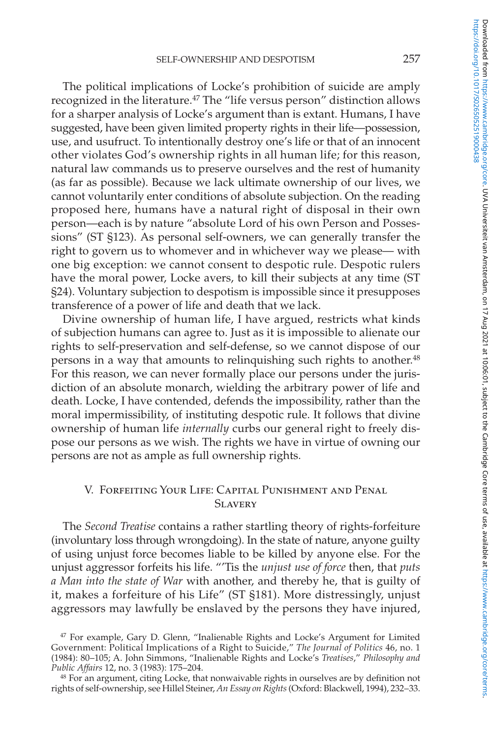The political implications of Locke's prohibition of suicide are amply recognized in the literature.<sup>47</sup> The "life versus person" distinction allows for a sharper analysis of Locke's argument than is extant. Humans, I have suggested, have been given limited property rights in their life—possession, use, and usufruct. To intentionally destroy one's life or that of an innocent other violates God's ownership rights in all human life; for this reason, natural law commands us to preserve ourselves and the rest of humanity (as far as possible). Because we lack ultimate ownership of our lives, we cannot voluntarily enter conditions of absolute subjection. On the reading proposed here, humans have a natural right of disposal in their own person—each is by nature "absolute Lord of his own Person and Possessions" (ST §123). As personal self-owners, we can generally transfer the right to govern us to whomever and in whichever way we please— with one big exception: we cannot consent to despotic rule. Despotic rulers have the moral power, Locke avers, to kill their subjects at any time (ST §24). Voluntary subjection to despotism is impossible since it presupposes transference of a power of life and death that we lack.

Divine ownership of human life, I have argued, restricts what kinds of subjection humans can agree to. Just as it is impossible to alienate our rights to self-preservation and self-defense, so we cannot dispose of our persons in a way that amounts to relinquishing such rights to another.<sup>48</sup> For this reason, we can never formally place our persons under the jurisdiction of an absolute monarch, wielding the arbitrary power of life and death. Locke, I have contended, defends the impossibility, rather than the moral impermissibility, of instituting despotic rule. It follows that divine ownership of human life *internally* curbs our general right to freely dispose our persons as we wish. The rights we have in virtue of owning our persons are not as ample as full ownership rights.

### V. Forfeiting Your Life: Capital Punishment and Penal **SLAVERY**

The *Second Treatise* contains a rather startling theory of rights-forfeiture (involuntary loss through wrongdoing). In the state of nature, anyone guilty of using unjust force becomes liable to be killed by anyone else. For the unjust aggressor forfeits his life. "'Tis the *unjust use of force* then, that *puts a Man into the state of War* with another, and thereby he, that is guilty of it, makes a forfeiture of his Life" (ST §181). More distressingly, unjust aggressors may lawfully be enslaved by the persons they have injured,

<sup>47</sup> For example, Gary D. Glenn, "Inalienable Rights and Locke's Argument for Limited Government: Political Implications of a Right to Suicide," *The Journal of Politics* 46, no. 1 (1984): 80–105; A. John Simmons, "Inalienable Rights and Locke's *Treatises*," *Philosophy and Public Affairs* 12, no. 3 (1983): 175–204.

<sup>48</sup> For an argument, citing Locke, that nonwaivable rights in ourselves are by definition not rights of self-ownership, see Hillel Steiner, *An Essay on Rights* (Oxford: Blackwell, 1994), 232–33.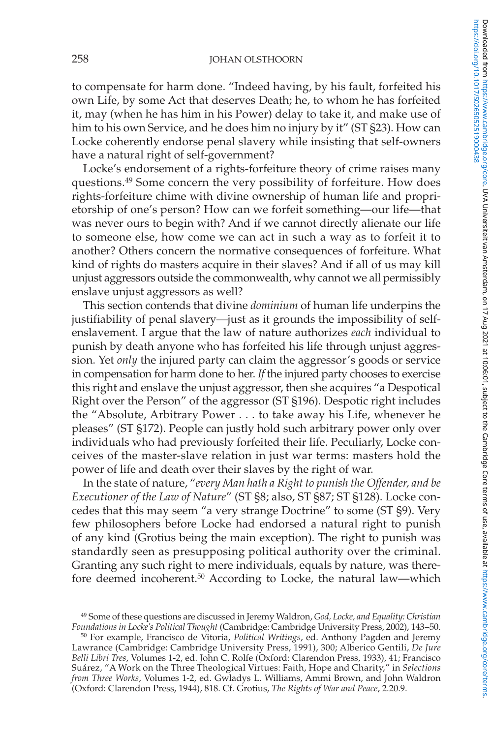to compensate for harm done. "Indeed having, by his fault, forfeited his own Life, by some Act that deserves Death; he, to whom he has forfeited it, may (when he has him in his Power) delay to take it, and make use of him to his own Service, and he does him no injury by it" (ST §23). How can Locke coherently endorse penal slavery while insisting that self-owners have a natural right of self-government?

Locke's endorsement of a rights-forfeiture theory of crime raises many questions.49 Some concern the very possibility of forfeiture. How does rights-forfeiture chime with divine ownership of human life and proprietorship of one's person? How can we forfeit something—our life—that was never ours to begin with? And if we cannot directly alienate our life to someone else, how come we can act in such a way as to forfeit it to another? Others concern the normative consequences of forfeiture. What kind of rights do masters acquire in their slaves? And if all of us may kill unjust aggressors outside the commonwealth, why cannot we all permissibly enslave unjust aggressors as well?

This section contends that divine *dominium* of human life underpins the justifiability of penal slavery—just as it grounds the impossibility of selfenslavement. I argue that the law of nature authorizes *each* individual to punish by death anyone who has forfeited his life through unjust aggression. Yet *only* the injured party can claim the aggressor's goods or service in compensation for harm done to her. *If* the injured party chooses to exercise this right and enslave the unjust aggressor, then she acquires "a Despotical Right over the Person" of the aggressor (ST §196). Despotic right includes the "Absolute, Arbitrary Power . . . to take away his Life, whenever he pleases" (ST §172). People can justly hold such arbitrary power only over individuals who had previously forfeited their life. Peculiarly, Locke conceives of the master-slave relation in just war terms: masters hold the power of life and death over their slaves by the right of war.

In the state of nature, "*every Man hath a Right to punish the Offender, and be Executioner of the Law of Nature*" (ST §8; also, ST §87; ST §128). Locke concedes that this may seem "a very strange Doctrine" to some (ST §9). Very few philosophers before Locke had endorsed a natural right to punish of any kind (Grotius being the main exception). The right to punish was standardly seen as presupposing political authority over the criminal. Granting any such right to mere individuals, equals by nature, was therefore deemed incoherent.50 According to Locke, the natural law—which

<sup>49</sup> Some of these questions are discussed in Jeremy Waldron, *God, Locke, and Equality: Christian Foundations in Locke's Political Thought* (Cambridge: Cambridge University Press, 2002), 143–50.

<sup>50</sup> For example, Francisco de Vitoria, *Political Writings*, ed. Anthony Pagden and Jeremy Lawrance (Cambridge: Cambridge University Press, 1991), 300; Alberico Gentili, *De Jure Belli Libri Tres*, Volumes 1-2, ed. John C. Rolfe (Oxford: Clarendon Press, 1933), 41; Francisco Suárez, "A Work on the Three Theological Virtues: Faith, Hope and Charity," in *Selections from Three Works*, Volumes 1-2, ed. Gwladys L. Williams, Ammi Brown, and John Waldron (Oxford: Clarendon Press, 1944), 818. Cf. Grotius, *The Rights of War and Peace*, 2.20.9.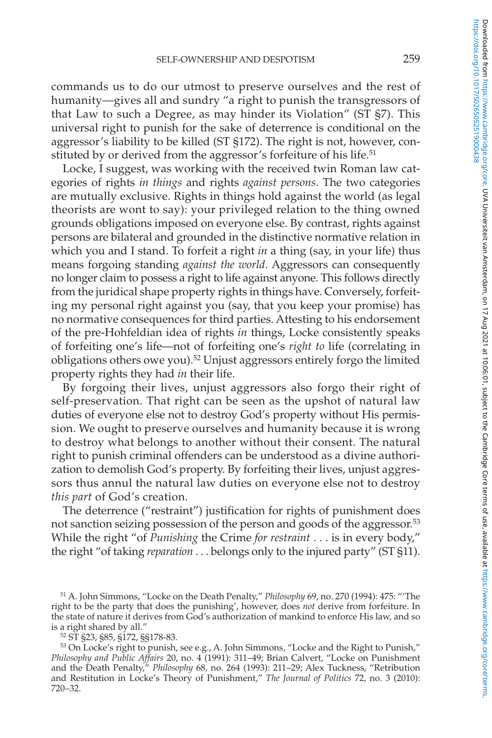commands us to do our utmost to preserve ourselves and the rest of humanity—gives all and sundry "a right to punish the transgressors of that Law to such a Degree, as may hinder its Violation" (ST §7). This universal right to punish for the sake of deterrence is conditional on the aggressor's liability to be killed (ST §172). The right is not, however, constituted by or derived from the aggressor's forfeiture of his life.<sup>51</sup>

Locke, I suggest, was working with the received twin Roman law categories of rights *in things* and rights *against persons*. The two categories are mutually exclusive. Rights in things hold against the world (as legal theorists are wont to say): your privileged relation to the thing owned grounds obligations imposed on everyone else. By contrast, rights against persons are bilateral and grounded in the distinctive normative relation in which you and I stand. To forfeit a right *in* a thing (say, in your life) thus means forgoing standing *against the world*. Aggressors can consequently no longer claim to possess a right to life against anyone. This follows directly from the juridical shape property rights in things have. Conversely, forfeiting my personal right against you (say, that you keep your promise) has no normative consequences for third parties. Attesting to his endorsement of the pre-Hohfeldian idea of rights *in* things, Locke consistently speaks of forfeiting one's life—not of forfeiting one's *right to* life (correlating in obligations others owe you).52 Unjust aggressors entirely forgo the limited property rights they had *in* their life.

By forgoing their lives, unjust aggressors also forgo their right of self-preservation. That right can be seen as the upshot of natural law duties of everyone else not to destroy God's property without His permission. We ought to preserve ourselves and humanity because it is wrong to destroy what belongs to another without their consent. The natural right to punish criminal offenders can be understood as a divine authorization to demolish God's property. By forfeiting their lives, unjust aggressors thus annul the natural law duties on everyone else not to destroy *this part* of God's creation.

The deterrence ("restraint") justification for rights of punishment does not sanction seizing possession of the person and goods of the aggressor.<sup>53</sup> While the right "of *Punishing* the Crime *for restraint* . . . is in every body," the right "of taking *reparation* . . . belongs only to the injured party" (ST §11).

<sup>51</sup> A. John Simmons, "Locke on the Death Penalty," *Philosophy* 69, no. 270 (1994): 475: "'The right to be the party that does the punishing', however, does *not* derive from forfeiture. In the state of nature it derives from God's authorization of mankind to enforce His law, and so is a right shared by all."

<sup>52</sup> ST §23, §85, §172, §§178-83.

<sup>53</sup> On Locke's right to punish, see e.g., A. John Simmons, "Locke and the Right to Punish," *Philosophy and Public Affairs* 20, no. 4 (1991): 311–49; Brian Calvert, "Locke on Punishment and the Death Penalty," *Philosophy* 68, no. 264 (1993): 211–29; Alex Tuckness, "Retribution and Restitution in Locke's Theory of Punishment," *The Journal of Politics* 72, no. 3 (2010): 720–32.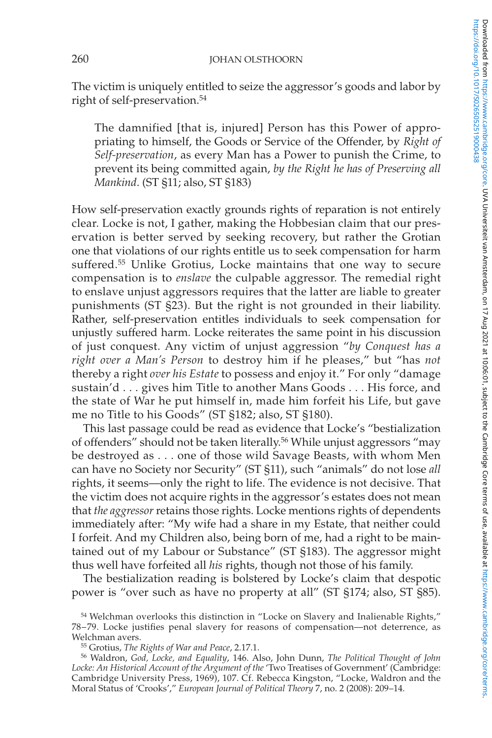The victim is uniquely entitled to seize the aggressor's goods and labor by right of self-preservation.54

The damnified [that is, injured] Person has this Power of appropriating to himself, the Goods or Service of the Offender, by *Right of Self-preservation*, as every Man has a Power to punish the Crime, to prevent its being committed again, *by the Right he has of Preserving all Mankind*. (ST §11; also, ST §183)

How self-preservation exactly grounds rights of reparation is not entirely clear. Locke is not, I gather, making the Hobbesian claim that our preservation is better served by seeking recovery, but rather the Grotian one that violations of our rights entitle us to seek compensation for harm suffered.55 Unlike Grotius, Locke maintains that one way to secure compensation is to *enslave* the culpable aggressor. The remedial right to enslave unjust aggressors requires that the latter are liable to greater punishments (ST §23). But the right is not grounded in their liability. Rather, self-preservation entitles individuals to seek compensation for unjustly suffered harm. Locke reiterates the same point in his discussion of just conquest. Any victim of unjust aggression "*by Conquest has a right over a Man's Person* to destroy him if he pleases," but "has *not* thereby a right *over his Estate* to possess and enjoy it." For only "damage sustain'd . . . gives him Title to another Mans Goods . . . His force, and the state of War he put himself in, made him forfeit his Life, but gave me no Title to his Goods" (ST §182; also, ST §180).

This last passage could be read as evidence that Locke's "bestialization of offenders" should not be taken literally.<sup>56</sup> While unjust aggressors "may be destroyed as . . . one of those wild Savage Beasts, with whom Men can have no Society nor Security" (ST §11), such "animals" do not lose *all* rights, it seems—only the right to life. The evidence is not decisive. That the victim does not acquire rights in the aggressor's estates does not mean that *the aggressor* retains those rights. Locke mentions rights of dependents immediately after: "My wife had a share in my Estate, that neither could I forfeit. And my Children also, being born of me, had a right to be maintained out of my Labour or Substance" (ST §183). The aggressor might thus well have forfeited all *his* rights, though not those of his family.

The bestialization reading is bolstered by Locke's claim that despotic power is "over such as have no property at all" (ST §174; also, ST §85).

<sup>54</sup> Welchman overlooks this distinction in "Locke on Slavery and Inalienable Rights," 78–79. Locke justifies penal slavery for reasons of compensation—not deterrence, as Welchman avers.

<sup>55</sup> Grotius, *The Rights of War and Peace*, 2.17.1.

<sup>56</sup> Waldron, *God, Locke, and Equality*, 146. Also, John Dunn, *The Political Thought of John Locke: An Historical Account of the Argument of the* 'Two Treatises of Government' (Cambridge: Cambridge University Press, 1969), 107. Cf. Rebecca Kingston, "Locke, Waldron and the Moral Status of 'Crooks'," *European Journal of Political Theory* 7, no. 2 (2008): 209–14.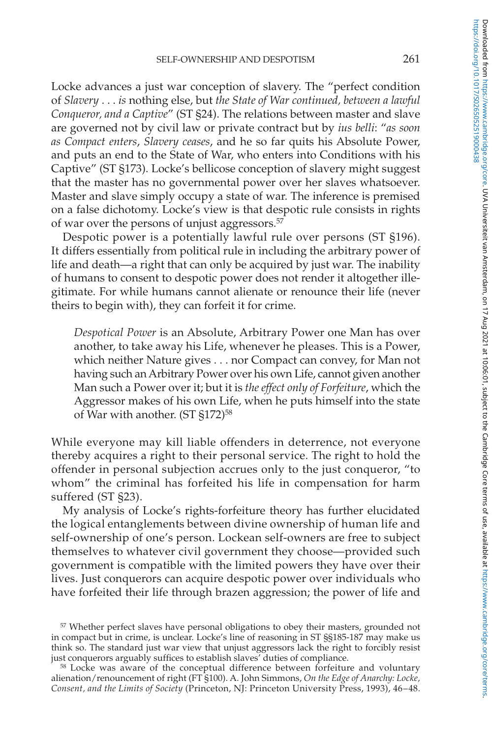Locke advances a just war conception of slavery. The "perfect condition of *Slavery* . . . *is* nothing else, but *the State of War continued, between a lawful Conqueror, and a Captive*" (ST §24). The relations between master and slave are governed not by civil law or private contract but by *ius belli*: "*as soon as Compact enters*, *Slavery ceases*, and he so far quits his Absolute Power, and puts an end to the State of War, who enters into Conditions with his Captive" (ST §173). Locke's bellicose conception of slavery might suggest that the master has no governmental power over her slaves whatsoever. Master and slave simply occupy a state of war. The inference is premised on a false dichotomy. Locke's view is that despotic rule consists in rights of war over the persons of unjust aggressors.57

Despotic power is a potentially lawful rule over persons (ST §196). It differs essentially from political rule in including the arbitrary power of life and death—a right that can only be acquired by just war. The inability of humans to consent to despotic power does not render it altogether illegitimate. For while humans cannot alienate or renounce their life (never theirs to begin with), they can forfeit it for crime.

*Despotical Power* is an Absolute, Arbitrary Power one Man has over another, to take away his Life, whenever he pleases. This is a Power, which neither Nature gives . . . nor Compact can convey, for Man not having such an Arbitrary Power over his own Life, cannot given another Man such a Power over it; but it is *the effect only of Forfeiture*, which the Aggressor makes of his own Life, when he puts himself into the state of War with another. (ST §172)<sup>58</sup>

While everyone may kill liable offenders in deterrence, not everyone thereby acquires a right to their personal service. The right to hold the offender in personal subjection accrues only to the just conqueror, "to whom" the criminal has forfeited his life in compensation for harm suffered (ST §23).

My analysis of Locke's rights-forfeiture theory has further elucidated the logical entanglements between divine ownership of human life and self-ownership of one's person. Lockean self-owners are free to subject themselves to whatever civil government they choose—provided such government is compatible with the limited powers they have over their lives. Just conquerors can acquire despotic power over individuals who have forfeited their life through brazen aggression; the power of life and

<sup>&</sup>lt;sup>57</sup> Whether perfect slaves have personal obligations to obey their masters, grounded not in compact but in crime, is unclear. Locke's line of reasoning in ST §§185-187 may make us think so. The standard just war view that unjust aggressors lack the right to forcibly resist just conquerors arguably suffices to establish slaves' duties of compliance.

<sup>&</sup>lt;sup>58</sup> Locke was aware of the conceptual difference between forfeiture and voluntary alienation/renouncement of right (FT §100). A. John Simmons, *On the Edge of Anarchy: Locke, Consent, and the Limits of Society* (Princeton, NJ: Princeton University Press, 1993), 46–48.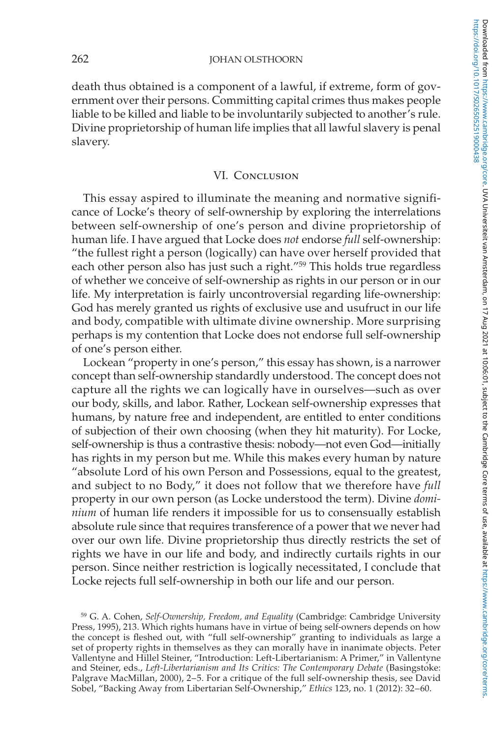death thus obtained is a component of a lawful, if extreme, form of government over their persons. Committing capital crimes thus makes people liable to be killed and liable to be involuntarily subjected to another's rule. Divine proprietorship of human life implies that all lawful slavery is penal slavery.

#### VI. Conclusion

This essay aspired to illuminate the meaning and normative significance of Locke's theory of self-ownership by exploring the interrelations between self-ownership of one's person and divine proprietorship of human life. I have argued that Locke does *not* endorse *full* self-ownership: "the fullest right a person (logically) can have over herself provided that each other person also has just such a right."59 This holds true regardless of whether we conceive of self-ownership as rights in our person or in our life. My interpretation is fairly uncontroversial regarding life-ownership: God has merely granted us rights of exclusive use and usufruct in our life and body, compatible with ultimate divine ownership. More surprising perhaps is my contention that Locke does not endorse full self-ownership of one's person either.

Lockean "property in one's person," this essay has shown, is a narrower concept than self-ownership standardly understood. The concept does not capture all the rights we can logically have in ourselves—such as over our body, skills, and labor. Rather, Lockean self-ownership expresses that humans, by nature free and independent, are entitled to enter conditions of subjection of their own choosing (when they hit maturity). For Locke, self-ownership is thus a contrastive thesis: nobody—not even God—initially has rights in my person but me. While this makes every human by nature "absolute Lord of his own Person and Possessions, equal to the greatest, and subject to no Body," it does not follow that we therefore have *full* property in our own person (as Locke understood the term). Divine *dominium* of human life renders it impossible for us to consensually establish absolute rule since that requires transference of a power that we never had over our own life. Divine proprietorship thus directly restricts the set of rights we have in our life and body, and indirectly curtails rights in our person. Since neither restriction is logically necessitated, I conclude that Locke rejects full self-ownership in both our life and our person.

<sup>59</sup> G. A. Cohen, *Self-Ownership, Freedom, and Equality* (Cambridge: Cambridge University Press, 1995), 213. Which rights humans have in virtue of being self-owners depends on how the concept is fleshed out, with "full self-ownership" granting to individuals as large a set of property rights in themselves as they can morally have in inanimate objects. Peter Vallentyne and Hillel Steiner, "Introduction: Left-Libertarianism: A Primer," in Vallentyne and Steiner, eds., *Left-Libertarianism and Its Critics: The Contemporary Debate* (Basingstoke: Palgrave MacMillan, 2000), 2–5. For a critique of the full self-ownership thesis, see David Sobel, "Backing Away from Libertarian Self-Ownership," *Ethics* 123, no. 1 (2012): 32–60.